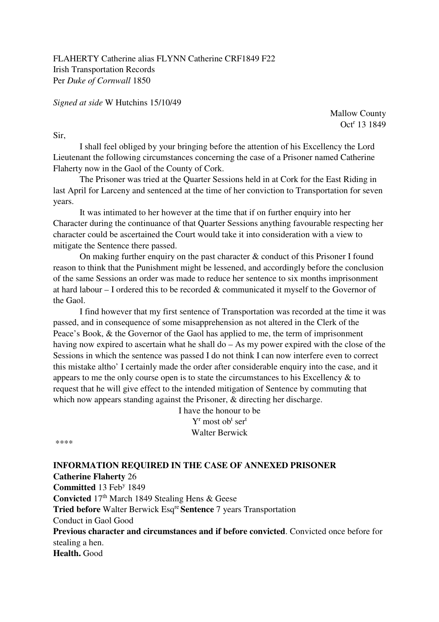FLAHERTY Catherine alias FLYNN Catherine CRF1849 F22 Irish Transportation Records Per *Duke of Cornwall* 1850

*Signed at side* W Hutchins 15/10/49

Mallow County Oct<sup>r</sup> 13 1849

Sir,

 I shall feel obliged by your bringing before the attention of his Excellency the Lord Lieutenant the following circumstances concerning the case of a Prisoner named Catherine Flaherty now in the Gaol of the County of Cork.

 The Prisoner was tried at the Quarter Sessions held in at Cork for the East Riding in last April for Larceny and sentenced at the time of her conviction to Transportation for seven years.

 It was intimated to her however at the time that if on further enquiry into her Character during the continuance of that Quarter Sessions anything favourable respecting her character could be ascertained the Court would take it into consideration with a view to mitigate the Sentence there passed.

 On making further enquiry on the past character & conduct of this Prisoner I found reason to think that the Punishment might be lessened, and accordingly before the conclusion of the same Sessions an order was made to reduce her sentence to six months imprisonment at hard labour  $-1$  ordered this to be recorded  $\⊂>k$  communicated it myself to the Governor of the Gaol.

 I find however that my first sentence of Transportation was recorded at the time it was passed, and in consequence of some misapprehension as not altered in the Clerk of the Peace's Book, & the Governor of the Gaol has applied to me, the term of imprisonment having now expired to ascertain what he shall do – As my power expired with the close of the Sessions in which the sentence was passed I do not think I can now interfere even to correct this mistake altho' I certainly made the order after considerable enquiry into the case, and it appears to me the only course open is to state the circumstances to his Excellency  $\&$  to request that he will give effect to the intended mitigation of Sentence by commuting that which now appears standing against the Prisoner, & directing her discharge.

I have the honour to be  $Y^r$  most ob<sup>t</sup> ser<sup>t</sup> Walter Berwick

\*\*\*\*

**INFORMATION REQUIRED IN THE CASE OF ANNEXED PRISONER Catherine Flaherty** 26 Committed 13 Feb<sup>y</sup> 1849 **Convicted** 17th March 1849 Stealing Hens & Geese **Tried before** Walter Berwick Esq<sup>re</sup> Sentence 7 years Transportation Conduct in Gaol Good **Previous character and circumstances and if before convicted**. Convicted once before for stealing a hen. **Health.** Good